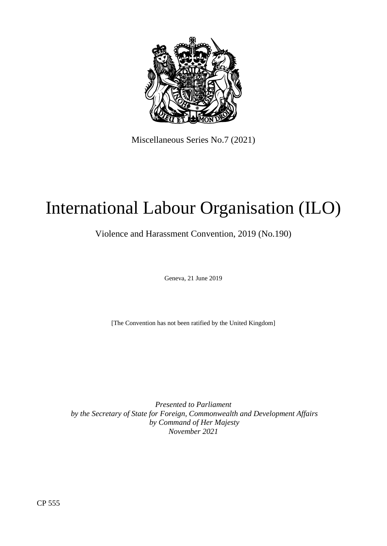

Miscellaneous Series No.7 (2021)

# International Labour Organisation (ILO)

Violence and Harassment Convention, 2019 (No.190)

Geneva, 21 June 2019

[The Convention has not been ratified by the United Kingdom]

*Presented to Parliament by the Secretary of State for Foreign, Commonwealth and Development Affairs by Command of Her Majesty November 2021*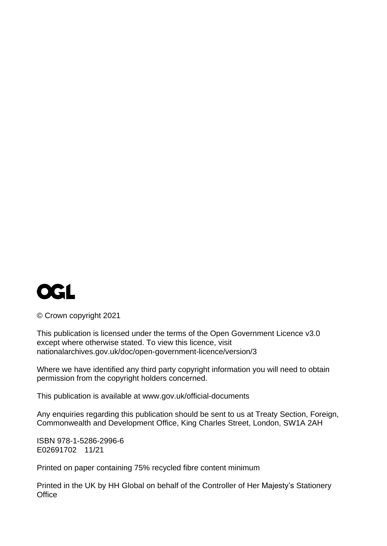

© Crown copyright 2021

This publication is licensed under the terms of the Open Government Licence v3.0 except where otherwise stated. To view this licence, visit [nationalarchives.gov.uk/doc/open-government-licence/version/3](http://www.nationalarchives.gov.uk/doc/open-government-licence/version/3)

Where we have identified any third party copyright information you will need to obtain permission from the copyright holders concerned.

This publication is available at [www.gov.uk/official-documents](http://www.gov.uk/official-documents)

Any enquiries regarding this publication should be sent to us at Treaty Section, Foreign, Commonwealth and Development Office, King Charles Street, London, SW1A 2AH

ISBN 978-1-5286-2996-6 E02691702 11/21

Printed on paper containing 75% recycled fibre content minimum

Printed in the UK by HH Global on behalf of the Controller of Her Majesty's Stationery **Office**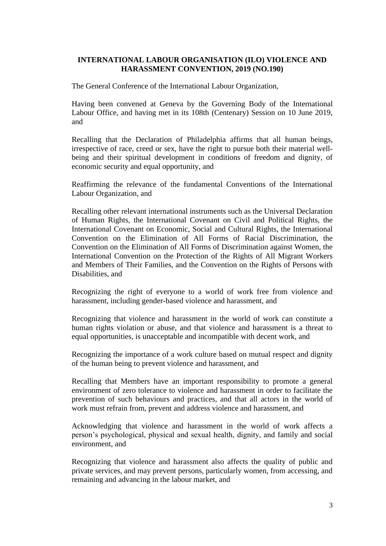# **INTERNATIONAL LABOUR ORGANISATION (ILO) VIOLENCE AND HARASSMENT CONVENTION, 2019 (NO.190)**

The General Conference of the International Labour Organization,

Having been convened at Geneva by the Governing Body of the International Labour Office, and having met in its 108th (Centenary) Session on 10 June 2019, and

Recalling that the Declaration of Philadelphia affirms that all human beings, irrespective of race, creed or sex, have the right to pursue both their material wellbeing and their spiritual development in conditions of freedom and dignity, of economic security and equal opportunity, and

Reaffirming the relevance of the fundamental Conventions of the International Labour Organization, and

Recalling other relevant international instruments such as the Universal Declaration of Human Rights, the International Covenant on Civil and Political Rights, the International Covenant on Economic, Social and Cultural Rights, the International Convention on the Elimination of All Forms of Racial Discrimination, the Convention on the Elimination of All Forms of Discrimination against Women, the International Convention on the Protection of the Rights of All Migrant Workers and Members of Their Families, and the Convention on the Rights of Persons with Disabilities, and

Recognizing the right of everyone to a world of work free from violence and harassment, including gender-based violence and harassment, and

Recognizing that violence and harassment in the world of work can constitute a human rights violation or abuse, and that violence and harassment is a threat to equal opportunities, is unacceptable and incompatible with decent work, and

Recognizing the importance of a work culture based on mutual respect and dignity of the human being to prevent violence and harassment, and

Recalling that Members have an important responsibility to promote a general environment of zero tolerance to violence and harassment in order to facilitate the prevention of such behaviours and practices, and that all actors in the world of work must refrain from, prevent and address violence and harassment, and

Acknowledging that violence and harassment in the world of work affects a person's psychological, physical and sexual health, dignity, and family and social environment, and

Recognizing that violence and harassment also affects the quality of public and private services, and may prevent persons, particularly women, from accessing, and remaining and advancing in the labour market, and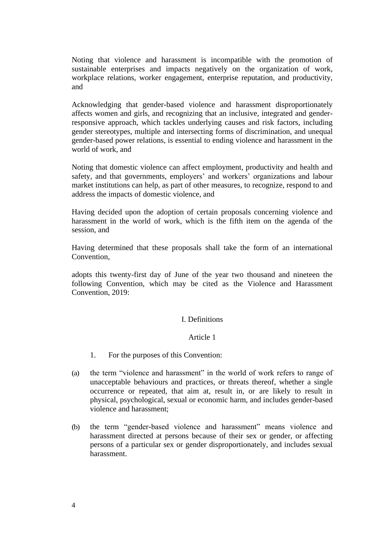Noting that violence and harassment is incompatible with the promotion of sustainable enterprises and impacts negatively on the organization of work, workplace relations, worker engagement, enterprise reputation, and productivity, and

Acknowledging that gender-based violence and harassment disproportionately affects women and girls, and recognizing that an inclusive, integrated and genderresponsive approach, which tackles underlying causes and risk factors, including gender stereotypes, multiple and intersecting forms of discrimination, and unequal gender-based power relations, is essential to ending violence and harassment in the world of work, and

Noting that domestic violence can affect employment, productivity and health and safety, and that governments, employers' and workers' organizations and labour market institutions can help, as part of other measures, to recognize, respond to and address the impacts of domestic violence, and

Having decided upon the adoption of certain proposals concerning violence and harassment in the world of work, which is the fifth item on the agenda of the session, and

Having determined that these proposals shall take the form of an international Convention,

adopts this twenty-first day of June of the year two thousand and nineteen the following Convention, which may be cited as the Violence and Harassment Convention, 2019:

# I. Definitions

# Article 1

- 1. For the purposes of this Convention:
- (a) the term "violence and harassment" in the world of work refers to range of unacceptable behaviours and practices, or threats thereof, whether a single occurrence or repeated, that aim at, result in, or are likely to result in physical, psychological, sexual or economic harm, and includes gender-based violence and harassment;
- (b) the term "gender-based violence and harassment" means violence and harassment directed at persons because of their sex or gender, or affecting persons of a particular sex or gender disproportionately, and includes sexual harassment.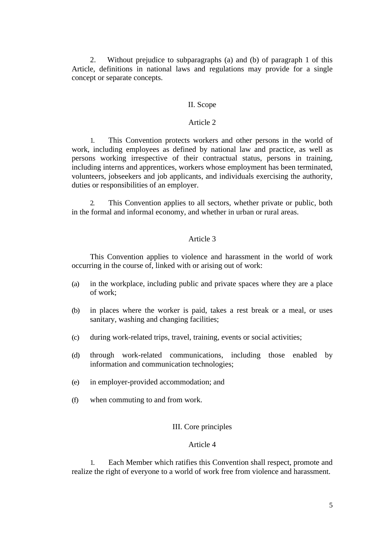2. Without prejudice to subparagraphs (a) and (b) of paragraph 1 of this Article, definitions in national laws and regulations may provide for a single concept or separate concepts.

## II. Scope

#### Article 2

1. This Convention protects workers and other persons in the world of work, including employees as defined by national law and practice, as well as persons working irrespective of their contractual status, persons in training, including interns and apprentices, workers whose employment has been terminated, volunteers, jobseekers and job applicants, and individuals exercising the authority, duties or responsibilities of an employer.

2. This Convention applies to all sectors, whether private or public, both in the formal and informal economy, and whether in urban or rural areas.

## Article 3

This Convention applies to violence and harassment in the world of work occurring in the course of, linked with or arising out of work:

- (a) in the workplace, including public and private spaces where they are a place of work;
- (b) in places where the worker is paid, takes a rest break or a meal, or uses sanitary, washing and changing facilities;
- (c) during work-related trips, travel, training, events or social activities;
- (d) through work-related communications, including those enabled by information and communication technologies;
- (e) in employer-provided accommodation; and
- (f) when commuting to and from work.

## III. Core principles

## Article 4

1. Each Member which ratifies this Convention shall respect, promote and realize the right of everyone to a world of work free from violence and harassment.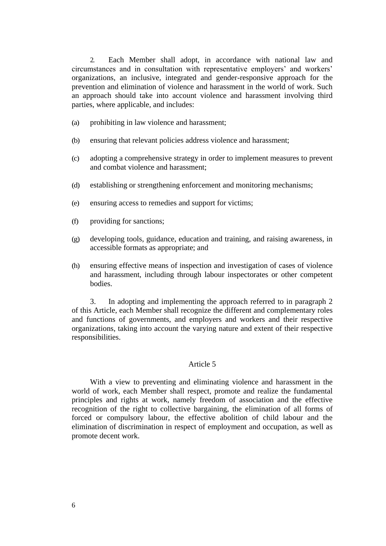2. Each Member shall adopt, in accordance with national law and circumstances and in consultation with representative employers' and workers' organizations, an inclusive, integrated and gender-responsive approach for the prevention and elimination of violence and harassment in the world of work. Such an approach should take into account violence and harassment involving third parties, where applicable, and includes:

- (a) prohibiting in law violence and harassment;
- (b) ensuring that relevant policies address violence and harassment;
- (c) adopting a comprehensive strategy in order to implement measures to prevent and combat violence and harassment;
- (d) establishing or strengthening enforcement and monitoring mechanisms;
- (e) ensuring access to remedies and support for victims;
- (f) providing for sanctions;
- (g) developing tools, guidance, education and training, and raising awareness, in accessible formats as appropriate; and
- (h) ensuring effective means of inspection and investigation of cases of violence and harassment, including through labour inspectorates or other competent bodies.

3. In adopting and implementing the approach referred to in paragraph 2 of this Article, each Member shall recognize the different and complementary roles and functions of governments, and employers and workers and their respective organizations, taking into account the varying nature and extent of their respective responsibilities.

#### Article 5

With a view to preventing and eliminating violence and harassment in the world of work, each Member shall respect, promote and realize the fundamental principles and rights at work, namely freedom of association and the effective recognition of the right to collective bargaining, the elimination of all forms of forced or compulsory labour, the effective abolition of child labour and the elimination of discrimination in respect of employment and occupation, as well as promote decent work.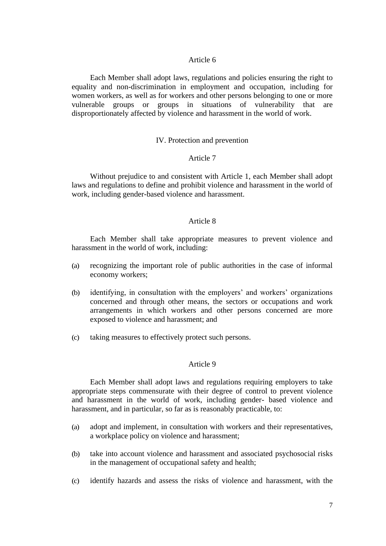#### Article 6

Each Member shall adopt laws, regulations and policies ensuring the right to equality and non-discrimination in employment and occupation, including for women workers, as well as for workers and other persons belonging to one or more vulnerable groups or groups in situations of vulnerability that are disproportionately affected by violence and harassment in the world of work.

#### IV. Protection and prevention

#### Article 7

Without prejudice to and consistent with Article 1, each Member shall adopt laws and regulations to define and prohibit violence and harassment in the world of work, including gender-based violence and harassment.

#### Article 8

Each Member shall take appropriate measures to prevent violence and harassment in the world of work, including:

- (a) recognizing the important role of public authorities in the case of informal economy workers;
- (b) identifying, in consultation with the employers' and workers' organizations concerned and through other means, the sectors or occupations and work arrangements in which workers and other persons concerned are more exposed to violence and harassment; and
- (c) taking measures to effectively protect such persons.

#### Article 9

Each Member shall adopt laws and regulations requiring employers to take appropriate steps commensurate with their degree of control to prevent violence and harassment in the world of work, including gender- based violence and harassment, and in particular, so far as is reasonably practicable, to:

- (a) adopt and implement, in consultation with workers and their representatives, a workplace policy on violence and harassment;
- (b) take into account violence and harassment and associated psychosocial risks in the management of occupational safety and health;
- (c) identify hazards and assess the risks of violence and harassment, with the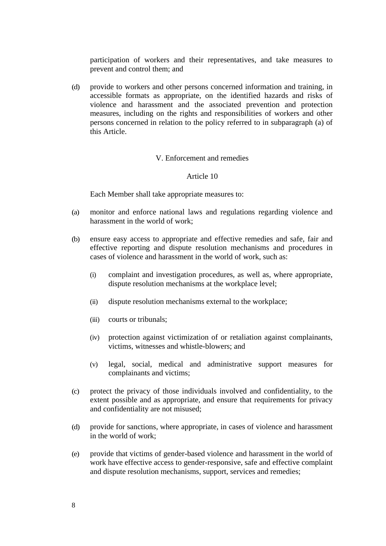participation of workers and their representatives, and take measures to prevent and control them; and

(d) provide to workers and other persons concerned information and training, in accessible formats as appropriate, on the identified hazards and risks of violence and harassment and the associated prevention and protection measures, including on the rights and responsibilities of workers and other persons concerned in relation to the policy referred to in subparagraph (a) of this Article.

#### V. Enforcement and remedies

## Article 10

Each Member shall take appropriate measures to:

- (a) monitor and enforce national laws and regulations regarding violence and harassment in the world of work;
- (b) ensure easy access to appropriate and effective remedies and safe, fair and effective reporting and dispute resolution mechanisms and procedures in cases of violence and harassment in the world of work, such as:
	- (i) complaint and investigation procedures, as well as, where appropriate, dispute resolution mechanisms at the workplace level;
	- (ii) dispute resolution mechanisms external to the workplace;
	- (iii) courts or tribunals;
	- (iv) protection against victimization of or retaliation against complainants, victims, witnesses and whistle-blowers; and
	- (v) legal, social, medical and administrative support measures for complainants and victims;
- (c) protect the privacy of those individuals involved and confidentiality, to the extent possible and as appropriate, and ensure that requirements for privacy and confidentiality are not misused;
- (d) provide for sanctions, where appropriate, in cases of violence and harassment in the world of work;
- (e) provide that victims of gender-based violence and harassment in the world of work have effective access to gender-responsive, safe and effective complaint and dispute resolution mechanisms, support, services and remedies;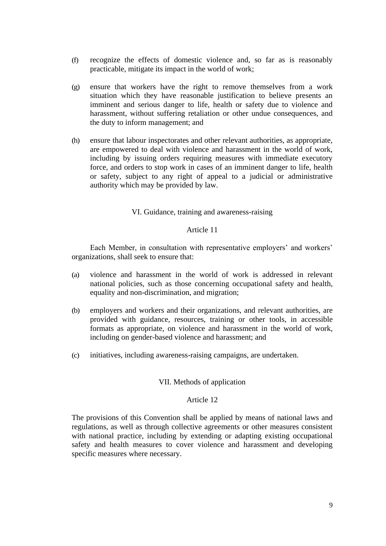- (f) recognize the effects of domestic violence and, so far as is reasonably practicable, mitigate its impact in the world of work;
- (g) ensure that workers have the right to remove themselves from a work situation which they have reasonable justification to believe presents an imminent and serious danger to life, health or safety due to violence and harassment, without suffering retaliation or other undue consequences, and the duty to inform management; and
- (h) ensure that labour inspectorates and other relevant authorities, as appropriate, are empowered to deal with violence and harassment in the world of work, including by issuing orders requiring measures with immediate executory force, and orders to stop work in cases of an imminent danger to life, health or safety, subject to any right of appeal to a judicial or administrative authority which may be provided by law.

# VI. Guidance, training and awareness-raising

## Article 11

Each Member, in consultation with representative employers' and workers' organizations, shall seek to ensure that:

- (a) violence and harassment in the world of work is addressed in relevant national policies, such as those concerning occupational safety and health, equality and non-discrimination, and migration;
- (b) employers and workers and their organizations, and relevant authorities, are provided with guidance, resources, training or other tools, in accessible formats as appropriate, on violence and harassment in the world of work, including on gender-based violence and harassment; and
- (c) initiatives, including awareness-raising campaigns, are undertaken.

## VII. Methods of application

## Article 12

The provisions of this Convention shall be applied by means of national laws and regulations, as well as through collective agreements or other measures consistent with national practice, including by extending or adapting existing occupational safety and health measures to cover violence and harassment and developing specific measures where necessary.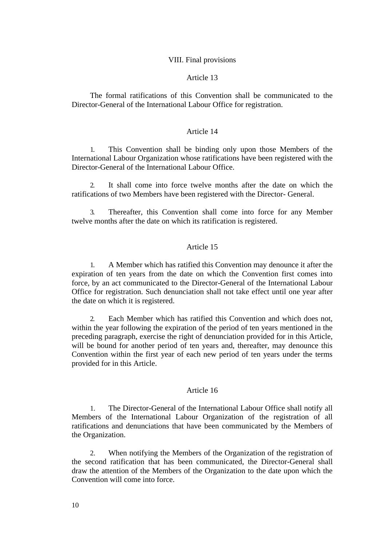#### VIII. Final provisions

## Article 13

The formal ratifications of this Convention shall be communicated to the Director-General of the International Labour Office for registration.

## Article 14

1. This Convention shall be binding only upon those Members of the International Labour Organization whose ratifications have been registered with the Director-General of the International Labour Office.

2. It shall come into force twelve months after the date on which the ratifications of two Members have been registered with the Director- General.

3. Thereafter, this Convention shall come into force for any Member twelve months after the date on which its ratification is registered.

## Article 15

1. A Member which has ratified this Convention may denounce it after the expiration of ten years from the date on which the Convention first comes into force, by an act communicated to the Director-General of the International Labour Office for registration. Such denunciation shall not take effect until one year after the date on which it is registered.

2. Each Member which has ratified this Convention and which does not, within the year following the expiration of the period of ten years mentioned in the preceding paragraph, exercise the right of denunciation provided for in this Article, will be bound for another period of ten years and, thereafter, may denounce this Convention within the first year of each new period of ten years under the terms provided for in this Article.

#### Article 16

1. The Director-General of the International Labour Office shall notify all Members of the International Labour Organization of the registration of all ratifications and denunciations that have been communicated by the Members of the Organization.

2. When notifying the Members of the Organization of the registration of the second ratification that has been communicated, the Director-General shall draw the attention of the Members of the Organization to the date upon which the Convention will come into force.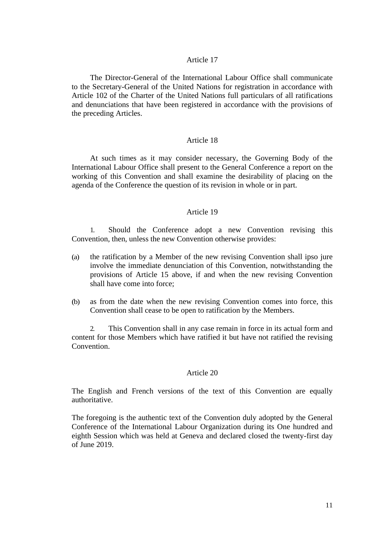#### Article 17

The Director-General of the International Labour Office shall communicate to the Secretary-General of the United Nations for registration in accordance with Article 102 of the Charter of the United Nations full particulars of all ratifications and denunciations that have been registered in accordance with the provisions of the preceding Articles.

#### Article 18

At such times as it may consider necessary, the Governing Body of the International Labour Office shall present to the General Conference a report on the working of this Convention and shall examine the desirability of placing on the agenda of the Conference the question of its revision in whole or in part.

## Article 19

1. Should the Conference adopt a new Convention revising this Convention, then, unless the new Convention otherwise provides:

- (a) the ratification by a Member of the new revising Convention shall ipso jure involve the immediate denunciation of this Convention, notwithstanding the provisions of Article 15 above, if and when the new revising Convention shall have come into force;
- (b) as from the date when the new revising Convention comes into force, this Convention shall cease to be open to ratification by the Members.

2. This Convention shall in any case remain in force in its actual form and content for those Members which have ratified it but have not ratified the revising **Convention** 

#### Article 20

The English and French versions of the text of this Convention are equally authoritative.

The foregoing is the authentic text of the Convention duly adopted by the General Conference of the International Labour Organization during its One hundred and eighth Session which was held at Geneva and declared closed the twenty-first day of June 2019.